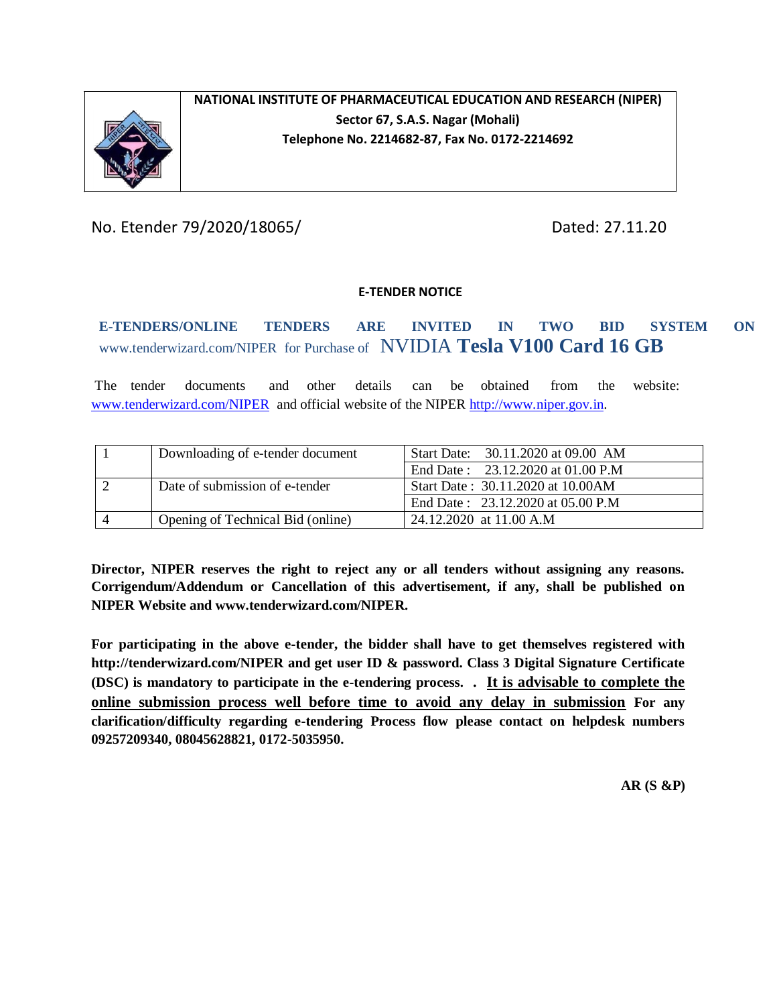

### **NATIONAL INSTITUTE OF PHARMACEUTICAL EDUCATION AND RESEARCH (NIPER) Sector 67, S.A.S. Nagar (Mohali) Telephone No. 2214682-87, Fax No. 0172-2214692**

No. Etender 79/2020/18065/ Dated: 27.11.20

#### **E-TENDER NOTICE**

**E-TENDERS/ONLINE TENDERS ARE INVITED IN TWO BID SYSTEM ON**  www.tenderwizard.com/NIPER for Purchase of NVIDIA **Tesla V100 Card 16 GB**

The tender documents and other details can be obtained from the website: [www.tenderwizard.com/NIPER a](http://www.tenderwizard.com/NIPER)nd official website of the NIPER [http://www.niper.gov.in.](http://www.niper.gov.in/)

| Downloading of e-tender document  | Start Date: 30.11.2020 at 09.00 AM |
|-----------------------------------|------------------------------------|
|                                   | End Date: 23.12.2020 at 01.00 P.M  |
| Date of submission of e-tender    | Start Date: 30.11.2020 at 10.00AM  |
|                                   | End Date: 23.12.2020 at 05.00 P.M  |
| Opening of Technical Bid (online) | 24.12.2020 at 11.00 A.M            |

**Director, NIPER reserves the right to reject any or all tenders without assigning any reasons. Corrigendum/Addendum or Cancellation of this advertisement, if any, shall be published on NIPER Website and www.tenderwizard.com/NIPER.**

**For participating in the above e-tender, the bidder shall have to get themselves registered with http://tenderwizard.com/NIPER and get user ID & password. Class 3 Digital Signature Certificate (DSC) is mandatory to participate in the e-tendering process. . It is advisable to complete the online submission process well before time to avoid any delay in submission For any clarification/difficulty regarding e-tendering Process flow please contact on helpdesk numbers 09257209340, 08045628821, 0172-5035950.**

**AR (S &P)**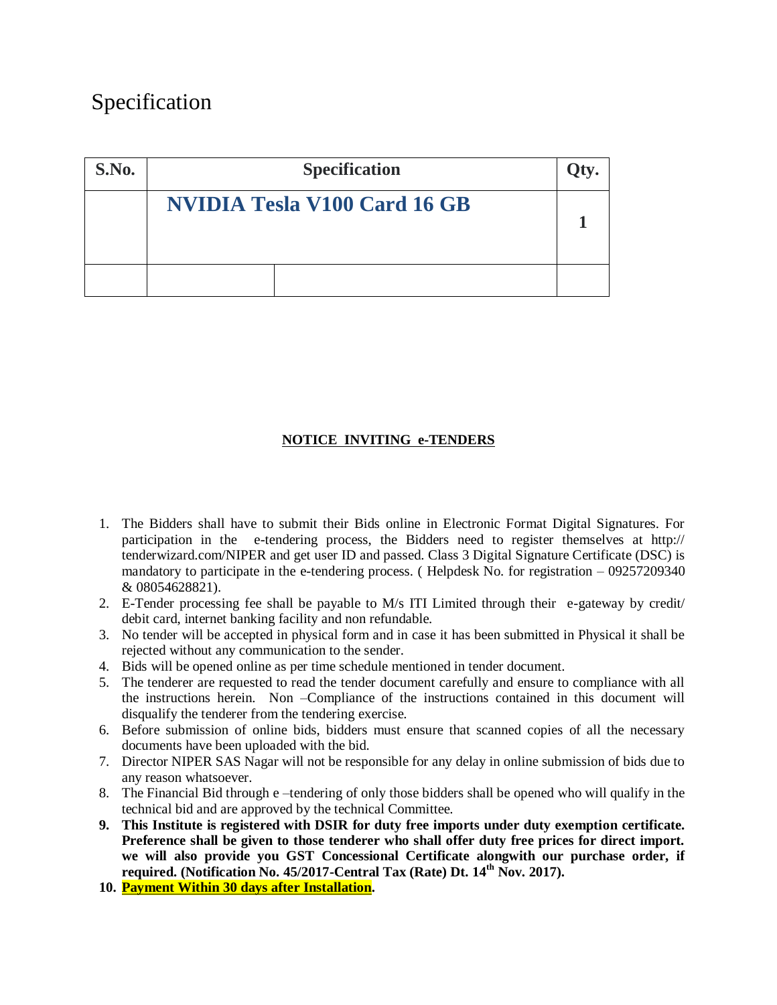# Specification

| S.No. | <b>Specification</b>                |  |
|-------|-------------------------------------|--|
|       | <b>NVIDIA Tesla V100 Card 16 GB</b> |  |
|       |                                     |  |

#### **NOTICE INVITING e-TENDERS**

- 1. The Bidders shall have to submit their Bids online in Electronic Format Digital Signatures. For participation in the e-tendering process, the Bidders need to register themselves at http:// tenderwizard.com/NIPER and get user ID and passed. Class 3 Digital Signature Certificate (DSC) is mandatory to participate in the e-tendering process. ( Helpdesk No. for registration – 09257209340 & 08054628821).
- 2. E-Tender processing fee shall be payable to M/s ITI Limited through their e-gateway by credit/ debit card, internet banking facility and non refundable.
- 3. No tender will be accepted in physical form and in case it has been submitted in Physical it shall be rejected without any communication to the sender.
- 4. Bids will be opened online as per time schedule mentioned in tender document.
- 5. The tenderer are requested to read the tender document carefully and ensure to compliance with all the instructions herein. Non –Compliance of the instructions contained in this document will disqualify the tenderer from the tendering exercise.
- 6. Before submission of online bids, bidders must ensure that scanned copies of all the necessary documents have been uploaded with the bid.
- 7. Director NIPER SAS Nagar will not be responsible for any delay in online submission of bids due to any reason whatsoever.
- 8. The Financial Bid through e –tendering of only those bidders shall be opened who will qualify in the technical bid and are approved by the technical Committee.
- **9. This Institute is registered with DSIR for duty free imports under duty exemption certificate. Preference shall be given to those tenderer who shall offer duty free prices for direct import. we will also provide you GST Concessional Certificate alongwith our purchase order, if required. (Notification No. 45/2017-Central Tax (Rate) Dt. 14th Nov. 2017).**
- **10. Payment Within 30 days after Installation.**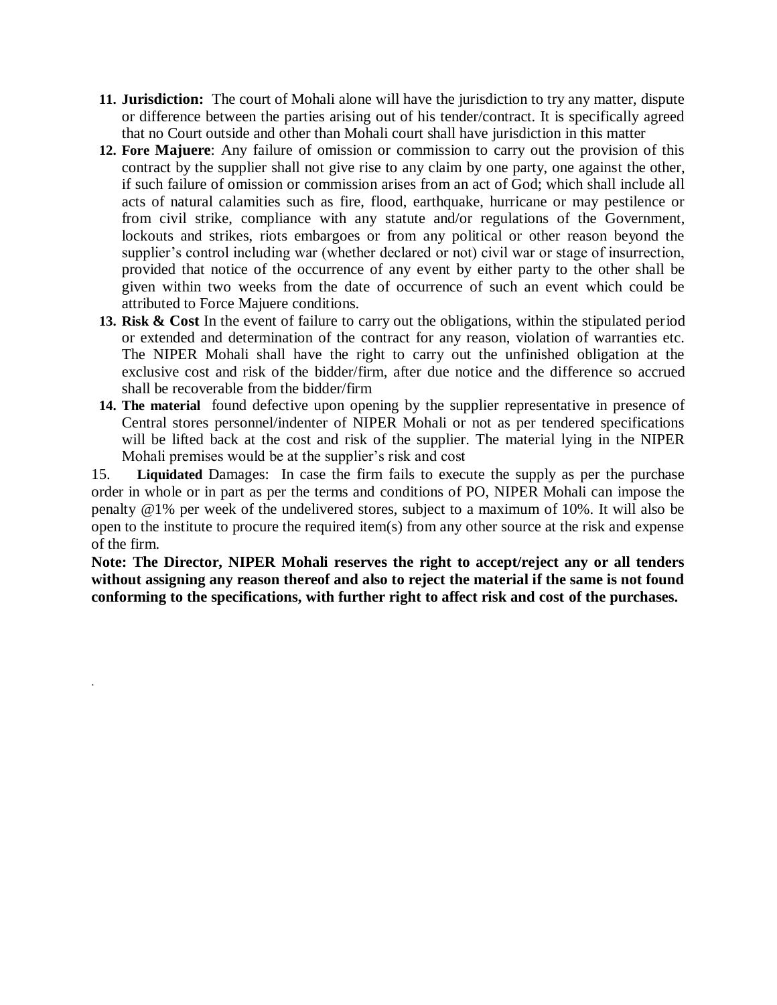- **11. Jurisdiction:** The court of Mohali alone will have the jurisdiction to try any matter, dispute or difference between the parties arising out of his tender/contract. It is specifically agreed that no Court outside and other than Mohali court shall have jurisdiction in this matter
- **12. Fore Majuere**: Any failure of omission or commission to carry out the provision of this contract by the supplier shall not give rise to any claim by one party, one against the other, if such failure of omission or commission arises from an act of God; which shall include all acts of natural calamities such as fire, flood, earthquake, hurricane or may pestilence or from civil strike, compliance with any statute and/or regulations of the Government, lockouts and strikes, riots embargoes or from any political or other reason beyond the supplier's control including war (whether declared or not) civil war or stage of insurrection, provided that notice of the occurrence of any event by either party to the other shall be given within two weeks from the date of occurrence of such an event which could be attributed to Force Majuere conditions.
- **13. Risk & Cost** In the event of failure to carry out the obligations, within the stipulated period or extended and determination of the contract for any reason, violation of warranties etc. The NIPER Mohali shall have the right to carry out the unfinished obligation at the exclusive cost and risk of the bidder/firm, after due notice and the difference so accrued shall be recoverable from the bidder/firm
- **14. The material** found defective upon opening by the supplier representative in presence of Central stores personnel/indenter of NIPER Mohali or not as per tendered specifications will be lifted back at the cost and risk of the supplier. The material lying in the NIPER Mohali premises would be at the supplier's risk and cost

15. **Liquidated** Damages: In case the firm fails to execute the supply as per the purchase order in whole or in part as per the terms and conditions of PO, NIPER Mohali can impose the penalty @1% per week of the undelivered stores, subject to a maximum of 10%. It will also be open to the institute to procure the required item(s) from any other source at the risk and expense of the firm.

**Note: The Director, NIPER Mohali reserves the right to accept/reject any or all tenders without assigning any reason thereof and also to reject the material if the same is not found conforming to the specifications, with further right to affect risk and cost of the purchases.**

.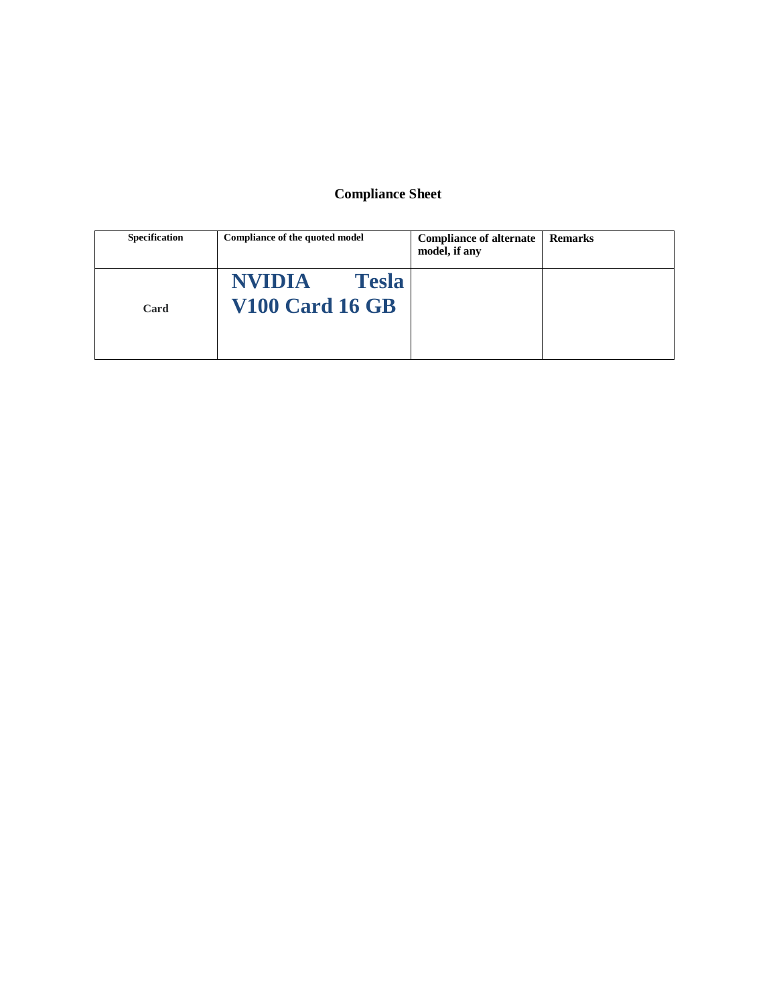## **Compliance Sheet**

| <b>Specification</b> | Compliance of the quoted model                          | <b>Compliance of alternate</b><br>model, if any | <b>Remarks</b> |
|----------------------|---------------------------------------------------------|-------------------------------------------------|----------------|
| Card                 | <b>NVIDIA</b><br><b>Tesla</b><br><b>V100 Card 16 GB</b> |                                                 |                |